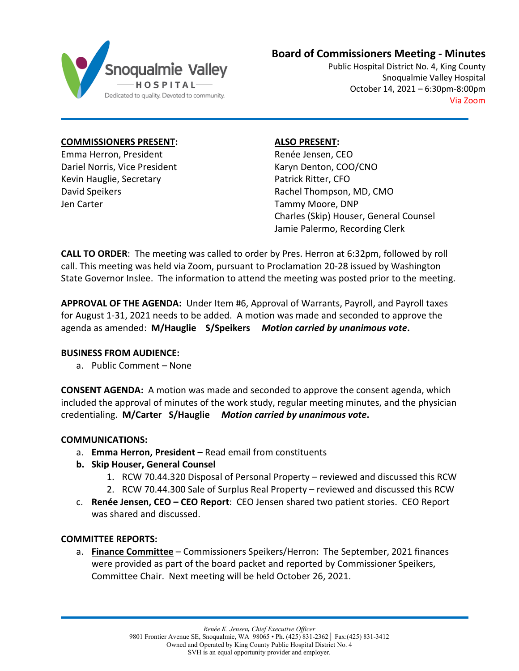

# **Board of Commissioners Meeting - Minutes**

Public Hospital District No. 4, King County Snoqualmie Valley Hospital October 14, 2021 – 6:30pm-8:00pm Via Zoom

**COMMISSIONERS PRESENT:**

Emma Herron, President Dariel Norris, Vice President Kevin Hauglie, Secretary David Speikers Jen Carter

**ALSO PRESENT:**

Renée Jensen, CEO Karyn Denton, COO/CNO Patrick Ritter, CFO Rachel Thompson, MD, CMO Tammy Moore, DNP Charles (Skip) Houser, General Counsel Jamie Palermo, Recording Clerk

**CALL TO ORDER**: The meeting was called to order by Pres. Herron at 6:32pm, followed by roll call. This meeting was held via Zoom, pursuant to Proclamation 20-28 issued by Washington State Governor Inslee. The information to attend the meeting was posted prior to the meeting.

**APPROVAL OF THE AGENDA:** Under Item #6, Approval of Warrants, Payroll, and Payroll taxes for August 1-31, 2021 needs to be added. A motion was made and seconded to approve the agenda as amended: **M/Hauglie S/Speikers** *Motion carried by unanimous vote***.** 

# **BUSINESS FROM AUDIENCE:**

a. Public Comment – None

**CONSENT AGENDA:** A motion was made and seconded to approve the consent agenda, which included the approval of minutes of the work study, regular meeting minutes, and the physician credentialing. **M/Carter S/Hauglie** *Motion carried by unanimous vote***.**

# **COMMUNICATIONS:**

- a. **Emma Herron, President** Read email from constituents
- **b. Skip Houser, General Counsel**
	- 1. RCW 70.44.320 Disposal of Personal Property reviewed and discussed this RCW
	- 2. RCW 70.44.300 Sale of Surplus Real Property reviewed and discussed this RCW
- c. **Renée Jensen, CEO – CEO Report**: CEO Jensen shared two patient stories. CEO Report was shared and discussed.

# **COMMITTEE REPORTS:**

a. **Finance Committee** – Commissioners Speikers/Herron: The September, 2021 finances were provided as part of the board packet and reported by Commissioner Speikers, Committee Chair. Next meeting will be held October 26, 2021.